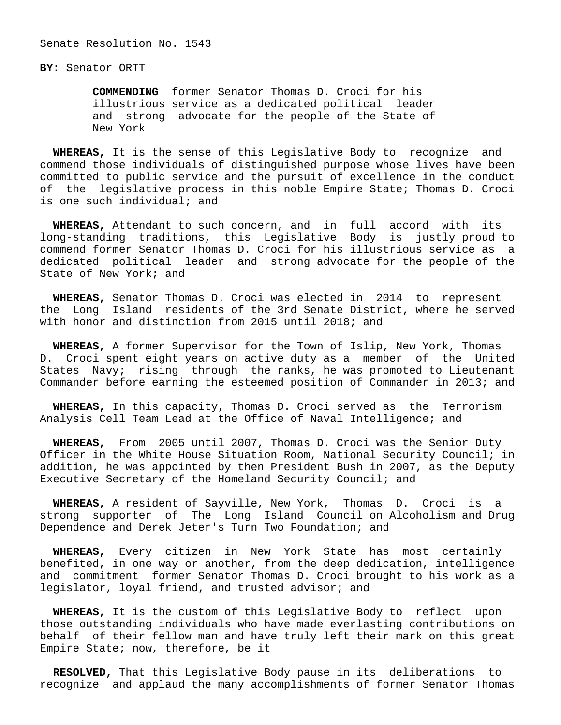## **BY:** Senator ORTT

 **COMMENDING** former Senator Thomas D. Croci for his illustrious service as a dedicated political leader and strong advocate for the people of the State of New York

 **WHEREAS,** It is the sense of this Legislative Body to recognize and commend those individuals of distinguished purpose whose lives have been committed to public service and the pursuit of excellence in the conduct of the legislative process in this noble Empire State; Thomas D. Croci is one such individual; and

 **WHEREAS,** Attendant to such concern, and in full accord with its long-standing traditions, this Legislative Body is justly proud to commend former Senator Thomas D. Croci for his illustrious service as a dedicated political leader and strong advocate for the people of the State of New York; and

 **WHEREAS,** Senator Thomas D. Croci was elected in 2014 to represent the Long Island residents of the 3rd Senate District, where he served with honor and distinction from 2015 until 2018; and

 **WHEREAS,** A former Supervisor for the Town of Islip, New York, Thomas D. Croci spent eight years on active duty as a member of the United States Navy; rising through the ranks, he was promoted to Lieutenant Commander before earning the esteemed position of Commander in 2013; and

 **WHEREAS,** In this capacity, Thomas D. Croci served as the Terrorism Analysis Cell Team Lead at the Office of Naval Intelligence; and

 **WHEREAS,** From 2005 until 2007, Thomas D. Croci was the Senior Duty Officer in the White House Situation Room, National Security Council; in addition, he was appointed by then President Bush in 2007, as the Deputy Executive Secretary of the Homeland Security Council; and

 **WHEREAS,** A resident of Sayville, New York, Thomas D. Croci is a strong supporter of The Long Island Council on Alcoholism and Drug Dependence and Derek Jeter's Turn Two Foundation; and

 **WHEREAS,** Every citizen in New York State has most certainly benefited, in one way or another, from the deep dedication, intelligence and commitment former Senator Thomas D. Croci brought to his work as a legislator, loyal friend, and trusted advisor; and

 **WHEREAS,** It is the custom of this Legislative Body to reflect upon those outstanding individuals who have made everlasting contributions on behalf of their fellow man and have truly left their mark on this great Empire State; now, therefore, be it

 **RESOLVED,** That this Legislative Body pause in its deliberations to recognize and applaud the many accomplishments of former Senator Thomas